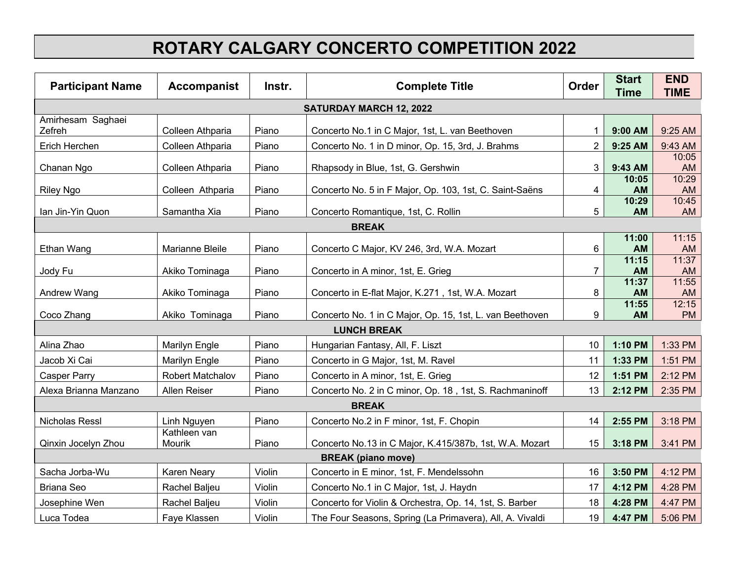## **ROTARY CALGARY CONCERTO COMPETITION 2022**

| <b>Participant Name</b>        | <b>Accompanist</b>      | Instr. | <b>Complete Title</b>                                    | Order          | <b>Start</b><br><b>Time</b> | <b>END</b><br><b>TIME</b> |  |  |
|--------------------------------|-------------------------|--------|----------------------------------------------------------|----------------|-----------------------------|---------------------------|--|--|
| <b>SATURDAY MARCH 12, 2022</b> |                         |        |                                                          |                |                             |                           |  |  |
| Amirhesam Saghaei<br>Zefreh    | Colleen Athparia        | Piano  | Concerto No.1 in C Major, 1st, L. van Beethoven          |                | 9:00 AM                     | 9:25 AM                   |  |  |
| Erich Herchen                  | Colleen Athparia        | Piano  | Concerto No. 1 in D minor, Op. 15, 3rd, J. Brahms        | $\overline{2}$ | 9:25 AM                     | 9:43 AM                   |  |  |
| Chanan Ngo                     | Colleen Athparia        | Piano  | Rhapsody in Blue, 1st, G. Gershwin                       | 3              | 9:43 AM                     | 10:05<br>AM               |  |  |
| <b>Riley Ngo</b>               | Colleen Athparia        | Piano  | Concerto No. 5 in F Major, Op. 103, 1st, C. Saint-Saëns  | 4              | 10:05<br><b>AM</b>          | 10:29<br>AM               |  |  |
| Ian Jin-Yin Quon               | Samantha Xia            | Piano  | Concerto Romantique, 1st, C. Rollin                      | 5              | 10:29<br>AM                 | 10:45<br>AM               |  |  |
| <b>BREAK</b>                   |                         |        |                                                          |                |                             |                           |  |  |
| Ethan Wang                     | Marianne Bleile         | Piano  | Concerto C Major, KV 246, 3rd, W.A. Mozart               | 6              | 11:00<br><b>AM</b>          | 11:15<br>AM               |  |  |
| Jody Fu                        | Akiko Tominaga          | Piano  | Concerto in A minor, 1st, E. Grieg                       | 7              | 11:15<br><b>AM</b>          | 11:37<br>AM               |  |  |
| Andrew Wang                    | Akiko Tominaga          | Piano  | Concerto in E-flat Major, K.271, 1st, W.A. Mozart        | 8              | 11:37<br><b>AM</b>          | 11:55<br>AM               |  |  |
| Coco Zhang                     | Akiko Tominaga          | Piano  | Concerto No. 1 in C Major, Op. 15, 1st, L. van Beethoven | 9              | 11:55<br>AM                 | 12:15<br><b>PM</b>        |  |  |
| <b>LUNCH BREAK</b>             |                         |        |                                                          |                |                             |                           |  |  |
| Alina Zhao                     | Marilyn Engle           | Piano  | Hungarian Fantasy, All, F. Liszt                         | 10             | 1:10 PM                     | 1:33 PM                   |  |  |
| Jacob Xi Cai                   | Marilyn Engle           | Piano  | Concerto in G Major, 1st, M. Ravel                       | 11             | 1:33 PM                     | 1:51 PM                   |  |  |
| <b>Casper Parry</b>            | <b>Robert Matchalov</b> | Piano  | Concerto in A minor, 1st, E. Grieg                       | 12             | 1:51 PM                     | 2:12 PM                   |  |  |
| Alexa Brianna Manzano          | Allen Reiser            | Piano  | Concerto No. 2 in C minor, Op. 18, 1st, S. Rachmaninoff  | 13             | 2:12 PM                     | 2:35 PM                   |  |  |
| <b>BREAK</b>                   |                         |        |                                                          |                |                             |                           |  |  |
| Nicholas Ressl                 | Linh Nguyen             | Piano  | Concerto No.2 in F minor, 1st, F. Chopin                 | 14             | 2:55 PM                     | 3:18 PM                   |  |  |
| Qinxin Jocelyn Zhou            | Kathleen van<br>Mourik  | Piano  | Concerto No.13 in C Major, K.415/387b, 1st, W.A. Mozart  | 15             | 3:18 PM                     | 3:41 PM                   |  |  |
| <b>BREAK (piano move)</b>      |                         |        |                                                          |                |                             |                           |  |  |
| Sacha Jorba-Wu                 | <b>Karen Neary</b>      | Violin | Concerto in E minor, 1st, F. Mendelssohn                 | 16             | 3:50 PM                     | 4:12 PM                   |  |  |
| <b>Briana Seo</b>              | Rachel Baljeu           | Violin | Concerto No.1 in C Major, 1st, J. Haydn                  | 17             | 4:12 PM                     | 4:28 PM                   |  |  |
| Josephine Wen                  | Rachel Baljeu           | Violin | Concerto for Violin & Orchestra, Op. 14, 1st, S. Barber  | 18             | 4:28 PM                     | 4:47 PM                   |  |  |
| Luca Todea                     | Faye Klassen            | Violin | The Four Seasons, Spring (La Primavera), All, A. Vivaldi | 19             | 4:47 PM                     | 5:06 PM                   |  |  |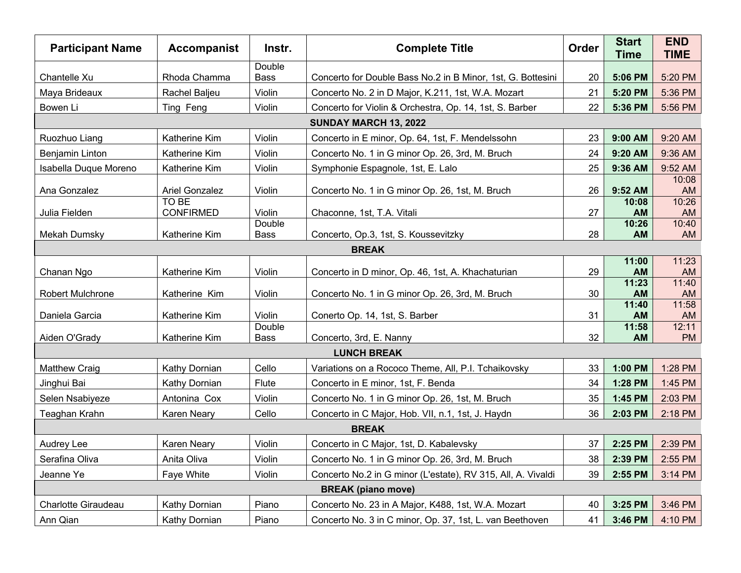| <b>Participant Name</b>                                                                    | <b>Accompanist</b>        | Instr.                | <b>Complete Title</b>                                        | <b>Order</b> | <b>Start</b><br><b>Time</b> | <b>END</b><br><b>TIME</b> |  |  |
|--------------------------------------------------------------------------------------------|---------------------------|-----------------------|--------------------------------------------------------------|--------------|-----------------------------|---------------------------|--|--|
| Chantelle Xu                                                                               | Rhoda Chamma              | Double<br><b>Bass</b> | Concerto for Double Bass No.2 in B Minor, 1st, G. Bottesini  | 20           | 5:06 PM                     | 5:20 PM                   |  |  |
| Maya Brideaux                                                                              | Rachel Baljeu             | Violin                | Concerto No. 2 in D Major, K.211, 1st, W.A. Mozart           | 21           | 5:20 PM                     | 5:36 PM                   |  |  |
| Bowen Li                                                                                   | Ting Feng                 | Violin                | Concerto for Violin & Orchestra, Op. 14, 1st, S. Barber      | 22           | 5:36 PM                     | 5:56 PM                   |  |  |
| SUNDAY MARCH 13, 2022                                                                      |                           |                       |                                                              |              |                             |                           |  |  |
| Ruozhuo Liang                                                                              | Katherine Kim             | Violin                | Concerto in E minor, Op. 64, 1st, F. Mendelssohn             | 23           | 9:00 AM                     | 9:20 AM                   |  |  |
| <b>Benjamin Linton</b>                                                                     | <b>Katherine Kim</b>      | Violin                | Concerto No. 1 in G minor Op. 26, 3rd, M. Bruch              | 24           | 9:20 AM                     | 9:36 AM                   |  |  |
| Isabella Duque Moreno                                                                      | Katherine Kim             | Violin                | Symphonie Espagnole, 1st, E. Lalo                            | 25           | 9:36 AM                     | 9:52 AM                   |  |  |
| Ana Gonzalez                                                                               | <b>Ariel Gonzalez</b>     | Violin                | Concerto No. 1 in G minor Op. 26, 1st, M. Bruch              | 26           | 9:52 AM                     | 10:08<br>AM               |  |  |
| Julia Fielden                                                                              | TO BE<br><b>CONFIRMED</b> | Violin                | Chaconne, 1st, T.A. Vitali                                   | 27           | 10:08<br><b>AM</b>          | 10:26<br>AM               |  |  |
|                                                                                            |                           | Double                |                                                              |              | 10:26                       | 10:40                     |  |  |
| <b>Mekah Dumsky</b>                                                                        | Katherine Kim             | <b>Bass</b>           | Concerto, Op.3, 1st, S. Koussevitzky                         | 28           | <b>AM</b>                   | AM                        |  |  |
| <b>BREAK</b>                                                                               |                           |                       |                                                              |              |                             |                           |  |  |
| Chanan Ngo                                                                                 | Katherine Kim             | Violin                | Concerto in D minor, Op. 46, 1st, A. Khachaturian            | 29           | 11:00<br><b>AM</b>          | 11:23<br><b>AM</b>        |  |  |
|                                                                                            |                           |                       |                                                              |              | 11:23                       | 11:40                     |  |  |
| Robert Mulchrone                                                                           | Katherine Kim             | Violin                | Concerto No. 1 in G minor Op. 26, 3rd, M. Bruch              | 30           | <b>AM</b>                   | <b>AM</b>                 |  |  |
| Daniela Garcia                                                                             | Katherine Kim             | Violin                | Conerto Op. 14, 1st, S. Barber                               | 31           | 11:40<br><b>AM</b>          | 11:58<br><b>AM</b>        |  |  |
|                                                                                            | Katherine Kim             | Double                |                                                              | 32           | 11:58                       | 12:11<br><b>PM</b>        |  |  |
| Aiden O'Grady<br>Concerto, 3rd, E. Nanny<br><b>Bass</b><br><b>AM</b><br><b>LUNCH BREAK</b> |                           |                       |                                                              |              |                             |                           |  |  |
| <b>Matthew Craig</b>                                                                       | Kathy Dornian             | Cello                 | Variations on a Rococo Theme, All, P.I. Tchaikovsky          | 33           | 1:00 PM                     | 1:28 PM                   |  |  |
| Jinghui Bai                                                                                | Kathy Dornian             | Flute                 | Concerto in E minor, 1st, F. Benda                           | 34           | 1:28 PM                     | 1:45 PM                   |  |  |
| Selen Nsabiyeze                                                                            | Antonina Cox              | Violin                | Concerto No. 1 in G minor Op. 26, 1st, M. Bruch              | 35           | 1:45 PM                     | 2:03 PM                   |  |  |
| Teaghan Krahn                                                                              | <b>Karen Neary</b>        | Cello                 | Concerto in C Major, Hob. VII, n.1, 1st, J. Haydn            | 36           | 2:03 PM                     | 2:18 PM                   |  |  |
| <b>BREAK</b>                                                                               |                           |                       |                                                              |              |                             |                           |  |  |
| Audrey Lee                                                                                 | Karen Neary               | Violin                | Concerto in C Major, 1st, D. Kabalevsky                      | 37           | 2:25 PM                     | 2:39 PM                   |  |  |
| Serafina Oliva                                                                             | Anita Oliva               | Violin                | Concerto No. 1 in G minor Op. 26, 3rd, M. Bruch              | 38           | 2:39 PM                     | 2:55 PM                   |  |  |
| Jeanne Ye                                                                                  | Faye White                | Violin                | Concerto No.2 in G minor (L'estate), RV 315, All, A. Vivaldi | 39           | 2:55 PM                     | 3:14 PM                   |  |  |
| <b>BREAK (piano move)</b>                                                                  |                           |                       |                                                              |              |                             |                           |  |  |
| Charlotte Giraudeau                                                                        | Kathy Dornian             | Piano                 | Concerto No. 23 in A Major, K488, 1st, W.A. Mozart           | 40           | 3:25 PM                     | 3:46 PM                   |  |  |
| Ann Qian                                                                                   | Kathy Dornian             | Piano                 | Concerto No. 3 in C minor, Op. 37, 1st, L. van Beethoven     | 41           | 3:46 PM                     | 4:10 PM                   |  |  |